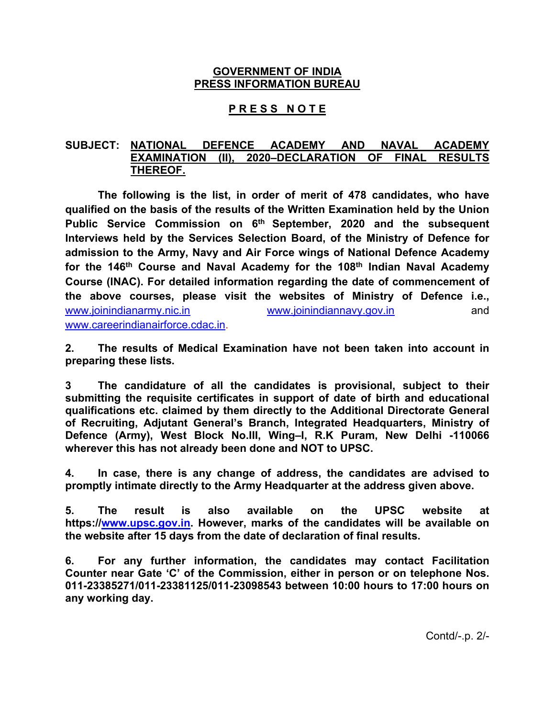# **GOVERNMENT OF INDIA PRESS INFORMATION BUREAU**

# **P R E S S N O T E**

# **SUBJECT: NATIONAL DEFENCE ACADEMY AND NAVAL ACADEMY EXAMINATION (II), 2020–DECLARATION OF FINAL RESULTS THEREOF.**

**The following is the list, in order of merit of 478 candidates, who have qualified on the basis of the results of the Written Examination held by the Union Public Service Commission on 6th September, 2020 and the subsequent Interviews held by the Services Selection Board, of the Ministry of Defence for admission to the Army, Navy and Air Force wings of National Defence Academy**  for the 146<sup>th</sup> Course and Naval Academy for the 108<sup>th</sup> Indian Naval Academy **Course (INAC). For detailed information regarding the date of commencement of the above courses, please visit the websites of Ministry of Defence i.e.,**  www.joinindianarmy.nic.in www.joinindiannavy.gov.in and www.careerindianairforce.cdac.in.

**2. The results of Medical Examination have not been taken into account in preparing these lists.** 

**3 The candidature of all the candidates is provisional, subject to their submitting the requisite certificates in support of date of birth and educational qualifications etc. claimed by them directly to the Additional Directorate General of Recruiting, Adjutant General's Branch, Integrated Headquarters, Ministry of Defence (Army), West Block No.III, Wing–I, R.K Puram, New Delhi -110066 wherever this has not already been done and NOT to UPSC.** 

**4. In case, there is any change of address, the candidates are advised to promptly intimate directly to the Army Headquarter at the address given above.** 

**5. The result is also available on the UPSC website at https://www.upsc.gov.in. However, marks of the candidates will be available on the website after 15 days from the date of declaration of final results.** 

**6. For any further information, the candidates may contact Facilitation Counter near Gate 'C' of the Commission, either in person or on telephone Nos. 011-23385271/011-23381125/011-23098543 between 10:00 hours to 17:00 hours on any working day.** 

Contd/-.p. 2/-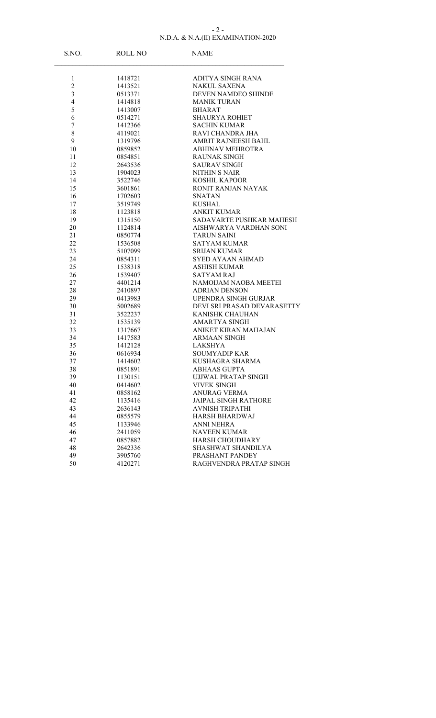### N.D.A. & N.A.(II) EXAMINATION-2020 - 2 -

| S.NO.                          | <b>ROLL NO</b>     | <b>NAME</b>                                    |
|--------------------------------|--------------------|------------------------------------------------|
|                                |                    |                                                |
| $\mathbf{1}$<br>$\overline{2}$ | 1418721            | ADITYA SINGH RANA                              |
| $\overline{\mathbf{3}}$        | 1413521<br>0513371 | <b>NAKUL SAXENA</b><br>DEVEN NAMDEO SHINDE     |
| $\overline{4}$                 |                    |                                                |
|                                | 1414818            | <b>MANIK TURAN</b>                             |
| 5                              | 1413007            | <b>BHARAT</b>                                  |
| 6                              | 0514271            | SHAURYA ROHIET                                 |
| 7                              | 1412366            | <b>SACHIN KUMAR</b>                            |
| $\,$ $\,$<br>9                 | 4119021<br>1319796 | RAVI CHANDRA JHA<br><b>AMRIT RAJNEESH BAHL</b> |
|                                |                    |                                                |
| 10                             | 0859852            | ABHINAV MEHROTRA                               |
| 11                             | 0854851            | <b>RAUNAK SINGH</b>                            |
| 12                             | 2643536            | <b>SAURAV SINGH</b>                            |
| 13                             | 1904023            | <b>NITHIN S NAIR</b>                           |
| 14                             | 3522746            | KOSHIL KAPOOR                                  |
| 15                             | 3601861            | RONIT RANJAN NAYAK                             |
| 16                             | 1702603            | <b>SNATAN</b>                                  |
| 17                             | 3519749            | <b>KUSHAL</b>                                  |
| 18                             | 1123818            | <b>ANKIT KUMAR</b>                             |
| 19                             | 1315150            | SADAVARTE PUSHKAR MAHESH                       |
| 20                             | 1124814            | AISHWARYA VARDHAN SONI                         |
| 21                             | 0850774            | TARUN SAINI                                    |
| 22                             | 1536508            | <b>SATYAM KUMAR</b>                            |
| 23                             | 5107099            | <b>SRIJAN KUMAR</b>                            |
| 24                             | 0854311            | <b>SYED AYAAN AHMAD</b>                        |
| 25                             | 1538318            | <b>ASHISH KUMAR</b>                            |
| 26                             | 1539407            | <b>SATYAM RAJ</b>                              |
| 27                             | 4401214            | NAMOIJAM NAOBA MEETEI                          |
| 28                             | 2410897            | <b>ADRIAN DENSON</b>                           |
| 29                             | 0413983            | UPENDRA SINGH GURJAR                           |
| 30                             | 5002689            | DEVI SRI PRASAD DEVARASETTY                    |
| 31                             | 3522237            | KANISHK CHAUHAN                                |
| 32                             | 1535139            | AMARTYA SINGH                                  |
| 33                             | 1317667            | ANIKET KIRAN MAHAJAN                           |
| 34                             | 1417583            | <b>ARMAAN SINGH</b>                            |
| 35                             | 1412128            | <b>LAKSHYA</b>                                 |
| 36                             | 0616934            | <b>SOUMYADIP KAR</b>                           |
| 37                             | 1414602            | KUSHAGRA SHARMA                                |
| 38                             | 0851891            | ABHAAS GUPTA                                   |
| 39                             | 1130151            | UJJWAL PRATAP SINGH                            |
| 40                             | 0414602            | <b>VIVEK SINGH</b>                             |
| 41                             | 0858162            | <b>ANURAG VERMA</b>                            |
| 42                             | 1135416            | <b>JAIPAL SINGH RATHORE</b>                    |
| 43                             | 2636143            | <b>AVNISH TRIPATHI</b>                         |
| 44                             | 0855579            | <b>HARSH BHARDWAJ</b>                          |
| 45                             | 1133946            | <b>ANNI NEHRA</b>                              |
| 46                             | 2411059            | <b>NAVEEN KUMAR</b>                            |
| 47                             | 0857882            | HARSH CHOUDHARY                                |
| 48                             | 2642336            | SHASHWAT SHANDILYA                             |
| 49                             | 3905760            | PRASHANT PANDEY                                |
| 50                             | 4120271            | RAGHVENDRA PRATAP SINGH                        |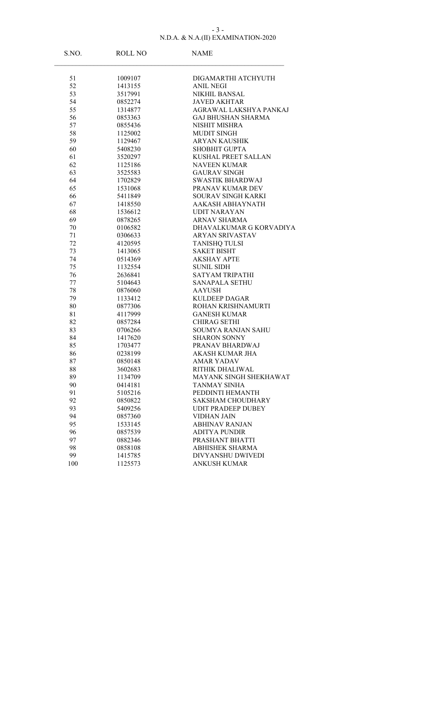### N.D.A. & N.A.(II) EXAMINATION-2020 - 3 -

| S.NO. | ROLL NO | <b>NAME</b>               |
|-------|---------|---------------------------|
| 51    | 1009107 | DIGAMARTHI ATCHYUTH       |
| 52    | 1413155 | ANIL NEGI                 |
| 53    | 3517991 | NIKHIL BANSAL             |
| 54    | 0852274 | <b>JAVED AKHTAR</b>       |
| 55    | 1314877 | AGRAWAL LAKSHYA PANKAJ    |
| 56    | 0853363 | <b>GAJ BHUSHAN SHARMA</b> |
| 57    | 0855436 | <b>NISHIT MISHRA</b>      |
| 58    | 1125002 | <b>MUDIT SINGH</b>        |
| 59    | 1129467 | <b>ARYAN KAUSHIK</b>      |
| 60    | 5408230 | <b>SHOBHIT GUPTA</b>      |
| 61    | 3520297 | KUSHAL PREET SALLAN       |
| 62    | 1125186 | <b>NAVEEN KUMAR</b>       |
| 63    | 3525583 | <b>GAURAV SINGH</b>       |
| 64    | 1702829 | <b>SWASTIK BHARDWAJ</b>   |
| 65    | 1531068 | PRANAV KUMAR DEV          |
| 66    | 5411849 | SOURAV SINGH KARKI        |
| 67    | 1418550 | AAKASH ABHAYNATH          |
| 68    | 1536612 | <b>UDIT NARAYAN</b>       |
| 69    | 0878265 | <b>ARNAV SHARMA</b>       |
| 70    | 0106582 | DHAVALKUMAR G KORVADIYA   |
| 71    | 0306633 | <b>ARYAN SRIVASTAV</b>    |
| 72    | 4120595 | TANISHQ TULSI             |
| 73    | 1413065 | <b>SAKET BISHT</b>        |
| 74    | 0514369 | <b>AKSHAY APTE</b>        |
| 75    | 1132554 | <b>SUNIL SIDH</b>         |
| 76    | 2636841 | SATYAM TRIPATHI           |
| 77    | 5104643 | <b>SANAPALA SETHU</b>     |
| 78    | 0876060 | <b>AAYUSH</b>             |
| 79    | 1133412 | <b>KULDEEP DAGAR</b>      |
| 80    | 0877306 | ROHAN KRISHNAMURTI        |
| 81    | 4117999 | <b>GANESH KUMAR</b>       |
| 82    | 0857284 | <b>CHIRAG SETHI</b>       |
| 83    | 0706266 | SOUMYA RANJAN SAHU        |
| 84    | 1417620 | <b>SHARON SONNY</b>       |
| 85    | 1703477 | PRANAV BHARDWAJ           |
| 86    | 0238199 | AKASH KUMAR JHA           |
| 87    | 0850148 | <b>AMAR YADAV</b>         |
| 88    | 3602683 | RITHIK DHALIWAL           |
| 89    | 1134709 | MAYANK SINGH SHEKHAWAT    |
| 90    | 0414181 | TANMAY SINHA              |
| 91    | 5105216 | PEDDINTI HEMANTH          |
| 92    | 0850822 | <b>SAKSHAM CHOUDHARY</b>  |
| 93    | 5409256 | <b>UDIT PRADEEP DUBEY</b> |
| 94    | 0857360 | <b>VIDHAN JAIN</b>        |
| 95    | 1533145 | <b>ABHINAV RANJAN</b>     |
| 96    | 0857539 | <b>ADITYA PUNDIR</b>      |
| 97    | 0882346 | PRASHANT BHATTI           |
| 98    | 0858108 | <b>ABHISHEK SHARMA</b>    |
| 99    | 1415785 | DIVYANSHU DWIVEDI         |
|       |         |                           |
| 100   | 1125573 | ANKUSH KUMAR              |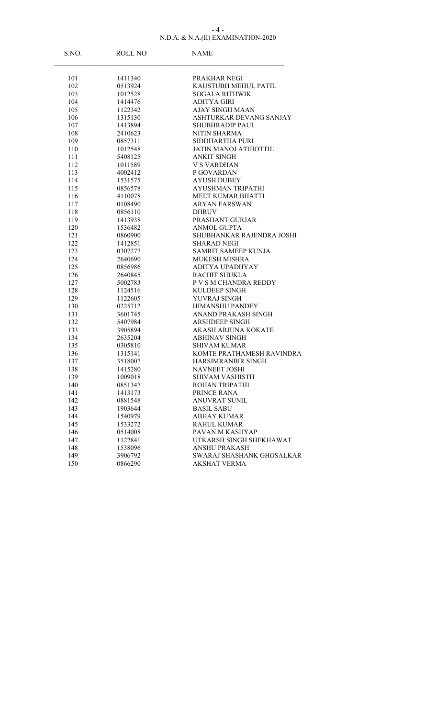## N.D.A. & N.A.(II) EXAMINATION-2020 - 4 -

| S.NO. | <b>ROLL NO</b> | <b>NAME</b>                  |
|-------|----------------|------------------------------|
| 101   | 1411340        | PRAKHAR NEGI                 |
| 102   | 0513924        | KAUSTUBH MEHUL PATIL         |
| 103   | 1012528        | <b>SOGALA RITHWIK</b>        |
| 104   | 1414476        | <b>ADITYA GIRI</b>           |
| 105   | 1122342        | AJAY SINGH MAAN              |
| 106   | 1315130        | ASHTURKAR DEVANG SANJAY      |
| 107   | 1413894        | <b>SHUBHRADIP PAUL</b>       |
| 108   | 2410623        | NITIN SHARMA                 |
| 109   | 0857311        | SIDDHARTHA PURI              |
| 110   | 1012548        | <b>JATIN MANOJ ATHIOTTIL</b> |
| 111   | 5408125        | <b>ANKIT SINGH</b>           |
| 112   | 1011589        | <b>V S VARDHAN</b>           |
| 113   | 4002412        | P GOVARDAN                   |
| 114   | 1531575        | <b>AYUSH DUBEY</b>           |
| 115   | 0856578        | AYUSHMAN TRIPATHI            |
| 116   | 4110078        | <b>MEET KUMAR BHATTI</b>     |
| 117   | 0108490        | <b>ARYAN FARSWAN</b>         |
| 118   | 0856110        | <b>DHRUV</b>                 |
| 119   | 1413938        | PRASHANT GURJAR              |
| 120   | 1536482        | <b>ANMOL GUPTA</b>           |
| 121   | 0860900        | SHUBHANKAR RAJENDRA JOSHI    |
| 122   | 1412851        | <b>SHARAD NEGI</b>           |
| 123   | 0307277        | SAMRIT SAMEEP KUNJA          |
| 124   | 2640690        | <b>MUKESH MISHRA</b>         |
| 125   | 0856986        | ADITYA UPADHYAY              |
| 126   | 2640845        | RACHIT SHUKLA                |
| 127   | 5002783        | P V S M CHANDRA REDDY        |
| 128   | 1124516        | KULDEEP SINGH                |
| 129   | 1122605        | YUVRAJ SINGH                 |
| 130   | 0225712        | <b>HIMANSHU PANDEY</b>       |
| 131   | 3601745        | ANAND PRAKASH SINGH          |
| 132   | 5407984        | <b>ARSHDEEP SINGH</b>        |
| 133   | 3905894        | AKASH ARJUNA KOKATE          |
| 134   | 2635204        | <b>ABHINAV SINGH</b>         |
| 135   | 0305810        | <b>SHIVAM KUMAR</b>          |
| 136   | 1315141        | KOMTE PRATHAMESH RAVINDRA    |
| 137   | 3518007        | HARSIMRANBIR SINGH           |
| 138   | 1415280        | NAVNEET JOSHI                |
| 139   | 1009018        | <b>SHIVAM VASHISTH</b>       |
| 140   | 0851347        | ROHAN TRIPATHI               |
| 141   | 1413173        | PRINCE RANA                  |
| 142   | 0881548        | ANUVRAT SUNIL                |
| 143   | 1903644        | <b>BASIL SABU</b>            |
| 144   | 1540979        | <b>ABHAY KUMAR</b>           |
| 145   | 1533272        | <b>RAHUL KUMAR</b>           |
| 146   | 0514008        | PAVAN M KASHYAP              |
| 147   | 1122841        | UTKARSH SINGH SHEKHAWAT      |
| 148   | 1538096        | <b>ANSHU PRAKASH</b>         |
| 149   | 3906792        | SWARAJ SHASHANK GHOSALKAR    |
| 150   | 0866290        | <b>AKSHAT VERMA</b>          |
|       |                |                              |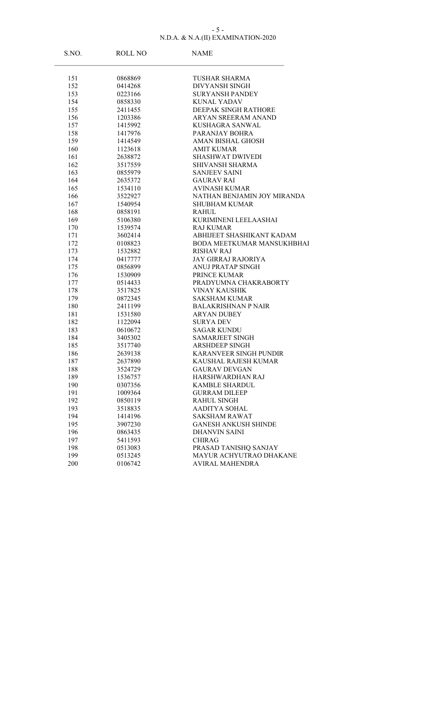### N.D.A. & N.A.(II) EXAMINATION-2020 - 5 -

| S.NO. | ROLL NO | <b>NAME</b>                   |
|-------|---------|-------------------------------|
| 151   | 0868869 | TUSHAR SHARMA                 |
| 152   | 0414268 | <b>DIVYANSH SINGH</b>         |
| 153   | 0223166 | <b>SURYANSH PANDEY</b>        |
| 154   | 0858330 | <b>KUNAL YADAV</b>            |
| 155   | 2411455 | DEEPAK SINGH RATHORE          |
| 156   | 1203386 | ARYAN SREERAM ANAND           |
| 157   | 1415992 | <b>KUSHAGRA SANWAL</b>        |
| 158   | 1417976 | PARANJAY BOHRA                |
| 159   | 1414549 | <b>AMAN BISHAL GHOSH</b>      |
| 160   | 1123618 | <b>AMIT KUMAR</b>             |
| 161   | 2638872 | <b>SHASHWAT DWIVEDI</b>       |
| 162   | 3517559 | <b>SHIVANSH SHARMA</b>        |
| 163   | 0855979 | <b>SANJEEV SAINI</b>          |
| 164   | 2635372 | <b>GAURAV RAI</b>             |
| 165   | 1534110 | <b>AVINASH KUMAR</b>          |
| 166   | 3522927 | NATHAN BENJAMIN JOY MIRANDA   |
| 167   | 1540954 | <b>SHUBHAM KUMAR</b>          |
| 168   | 0858191 | RAHUL                         |
| 169   | 5106380 | KURIMINENI LEELAASHAI         |
| 170   | 1539574 | <b>RAJ KUMAR</b>              |
| 171   | 3602414 | ABHIJEET SHASHIKANT KADAM     |
| 172   | 0108823 | BODA MEETKUMAR MANSUKHBHAI    |
| 173   | 1532882 | <b>RISHAV RAJ</b>             |
| 174   | 0417777 | <b>JAY GIRRAJ RAJORIYA</b>    |
| 175   | 0856899 | <b>ANUJ PRATAP SINGH</b>      |
| 176   | 1530909 | PRINCE KUMAR                  |
| 177   | 0514433 | PRADYUMNA CHAKRABORTY         |
| 178   | 3517825 | <b>VINAY KAUSHIK</b>          |
| 179   | 0872345 | <b>SAKSHAM KUMAR</b>          |
| 180   | 2411199 | <b>BALAKRISHNAN P NAIR</b>    |
| 181   | 1531580 | ARYAN DUBEY                   |
| 182   | 1122094 | <b>SURYA DEV</b>              |
| 183   | 0610672 | <b>SAGAR KUNDU</b>            |
| 184   | 3405302 | SAMARJEET SINGH               |
| 185   | 3517740 | <b>ARSHDEEP SINGH</b>         |
| 186   | 2639138 | <b>KARANVEER SINGH PUNDIR</b> |
| 187   | 2637890 | KAUSHAL RAJESH KUMAR          |
| 188   | 3524729 | GAURAV DEVGAN                 |
| 189   | 1536757 | HARSHWARDHAN RAJ              |
| 190   | 0307356 | KAMBLE SHARDUL                |
| 191   | 1009364 | <b>GURRAM DILEEP</b>          |
| 192   | 0850119 | <b>RAHUL SINGH</b>            |
| 193   | 3518835 | AADITYA SOHAL                 |
| 194   | 1414196 | <b>SAKSHAM RAWAT</b>          |
| 195   | 3907230 | <b>GANESH ANKUSH SHINDE</b>   |
| 196   | 0863435 | <b>DHANVIN SAINI</b>          |
| 197   | 5411593 | <b>CHIRAG</b>                 |
| 198   | 0513083 | PRASAD TANISHQ SANJAY         |
| 199   | 0513245 | MAYUR ACHYUTRAO DHAKANE       |
| 200   | 0106742 | <b>AVIRAL MAHENDRA</b>        |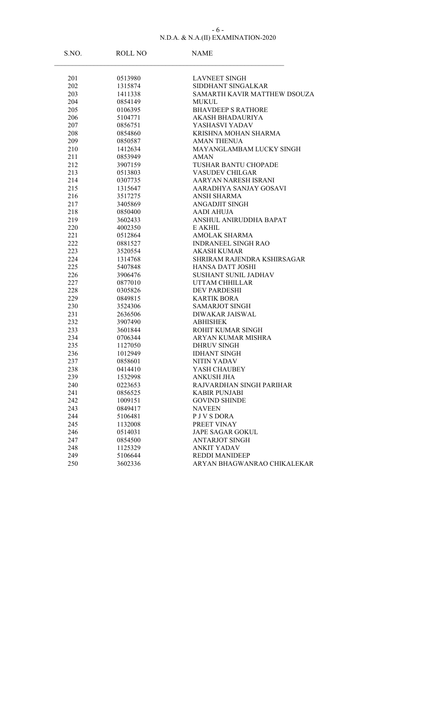#### N.D.A. & N.A.(II) EXAMINATION-2020 - 6 -

| S.NO. | ROLL NO | <b>NAME</b>                  |
|-------|---------|------------------------------|
| 201   | 0513980 | <b>LAVNEET SINGH</b>         |
| 202   | 1315874 | SIDDHANT SINGALKAR           |
| 203   | 1411338 | SAMARTH KAVIR MATTHEW DSOUZA |
| 204   | 0854149 | <b>MUKUL</b>                 |
| 205   | 0106395 | <b>BHAVDEEP S RATHORE</b>    |
| 206   | 5104771 | AKASH BHADAURIYA             |
| 207   | 0856751 | YASHASVI YADAV               |
| 208   | 0854860 | KRISHNA MOHAN SHARMA         |
| 209   | 0850587 | <b>AMAN THENUA</b>           |
| 210   | 1412634 | MAYANGLAMBAM LUCKY SINGH     |
| 211   | 0853949 | AMAN                         |
| 212   | 3907159 | TUSHAR BANTU CHOPADE         |
| 213   | 0513803 | <b>VASUDEV CHILGAR</b>       |
| 214   | 0307735 | AARYAN NARESH ISRANI         |
| 215   | 1315647 | AARADHYA SANJAY GOSAVI       |
| 216   | 3517275 | <b>ANSH SHARMA</b>           |
| 217   | 3405869 | ANGADJIT SINGH               |
| 218   | 0850400 | AADI AHUJA                   |
| 219   | 3602433 | ANSHUL ANIRUDDHA BAPAT       |
| 220   | 4002350 | E AKHIL                      |
| 221   | 0512864 | <b>AMOLAK SHARMA</b>         |
| 222   | 0881527 | <b>INDRANEEL SINGH RAO</b>   |
| 223   | 3520554 | <b>AKASH KUMAR</b>           |
| 224   | 1314768 | SHRIRAM RAJENDRA KSHIRSAGAR  |
| 225   | 5407848 | HANSA DATT JOSHI             |
| 226   | 3906476 | SUSHANT SUNIL JADHAV         |
| 227   | 0877010 | UTTAM CHHILLAR               |
| 228   | 0305826 | <b>DEV PARDESHI</b>          |
| 229   | 0849815 | <b>KARTIK BORA</b>           |
| 230   | 3524306 | <b>SAMARJOT SINGH</b>        |
| 231   | 2636506 | <b>DIWAKAR JAISWAL</b>       |
| 232   | 3907490 | ABHISHEK                     |
| 233   | 3601844 | ROHIT KUMAR SINGH            |
| 234   | 0706344 | ARYAN KUMAR MISHRA           |
| 235   | 1127050 | <b>DHRUV SINGH</b>           |
| 236   | 1012949 | <b>IDHANT SINGH</b>          |
| 237   | 0858601 | <b>NITIN YADAV</b>           |
| 238   | 0414410 | <b>YASH CHAUREY</b>          |
| 239   | 1532998 | ANKUSH JHA                   |
| 240   | 0223653 | RAJVARDHAN SINGH PARIHAR     |
| 241   | 0856525 | <b>KABIR PUNJABI</b>         |
| 242   | 1009151 | <b>GOVIND SHINDE</b>         |
| 243   | 0849417 | <b>NAVEEN</b>                |
| 244   | 5106481 | <b>P J V S DORA</b>          |
| 245   | 1132008 | PREET VINAY                  |
| 246   | 0514031 | JAPE SAGAR GOKUL             |
| 247   | 0854500 | <b>ANTARJOT SINGH</b>        |
| 248   | 1125329 | <b>ANKIT YADAV</b>           |
| 249   | 5106644 | <b>REDDI MANIDEEP</b>        |
| 250   | 3602336 | ARYAN BHAGWANRAO CHIKALEKAR  |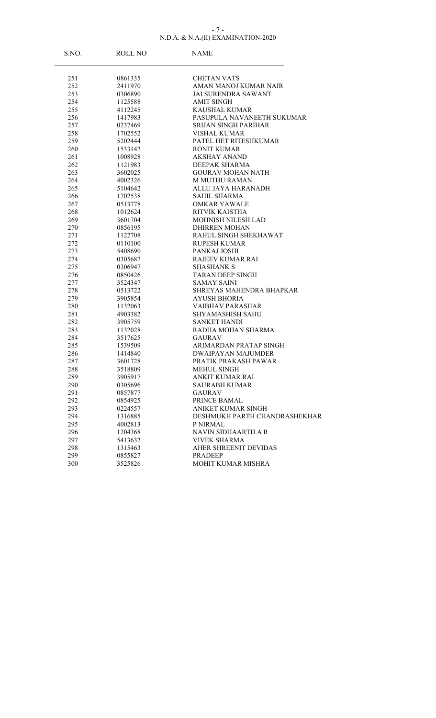#### N.D.A. & N.A.(II) EXAMINATION-2020 - 7 -

| ROLL NO | <b>NAME</b>                                                                                                                                                                                                                                                                                                                                                                                                                                                                                                                                                        |
|---------|--------------------------------------------------------------------------------------------------------------------------------------------------------------------------------------------------------------------------------------------------------------------------------------------------------------------------------------------------------------------------------------------------------------------------------------------------------------------------------------------------------------------------------------------------------------------|
|         | <b>CHETAN VATS</b>                                                                                                                                                                                                                                                                                                                                                                                                                                                                                                                                                 |
|         | AMAN MANOJ KUMAR NAIR                                                                                                                                                                                                                                                                                                                                                                                                                                                                                                                                              |
|         | <b>JAI SURENDRA SAWANT</b>                                                                                                                                                                                                                                                                                                                                                                                                                                                                                                                                         |
|         | <b>AMIT SINGH</b>                                                                                                                                                                                                                                                                                                                                                                                                                                                                                                                                                  |
|         | <b>KAUSHAL KUMAR</b>                                                                                                                                                                                                                                                                                                                                                                                                                                                                                                                                               |
|         | PASUPULA NAVANEETH SUKUMAR                                                                                                                                                                                                                                                                                                                                                                                                                                                                                                                                         |
|         | <b>SRIJAN SINGH PARIHAR</b>                                                                                                                                                                                                                                                                                                                                                                                                                                                                                                                                        |
|         | VISHAL KUMAR                                                                                                                                                                                                                                                                                                                                                                                                                                                                                                                                                       |
|         | PATEL HET RITESHKUMAR                                                                                                                                                                                                                                                                                                                                                                                                                                                                                                                                              |
|         | <b>RONIT KUMAR</b>                                                                                                                                                                                                                                                                                                                                                                                                                                                                                                                                                 |
|         | <b>AKSHAY ANAND</b>                                                                                                                                                                                                                                                                                                                                                                                                                                                                                                                                                |
|         | DEEPAK SHARMA                                                                                                                                                                                                                                                                                                                                                                                                                                                                                                                                                      |
|         | <b>GOURAV MOHAN NATH</b>                                                                                                                                                                                                                                                                                                                                                                                                                                                                                                                                           |
|         | M MUTHU RAMAN                                                                                                                                                                                                                                                                                                                                                                                                                                                                                                                                                      |
|         | ALLU JAYA HARANADH                                                                                                                                                                                                                                                                                                                                                                                                                                                                                                                                                 |
|         | <b>SAHIL SHARMA</b>                                                                                                                                                                                                                                                                                                                                                                                                                                                                                                                                                |
|         | <b>OMKAR YAWALE</b>                                                                                                                                                                                                                                                                                                                                                                                                                                                                                                                                                |
|         | RITVIK KAISTHA                                                                                                                                                                                                                                                                                                                                                                                                                                                                                                                                                     |
|         | <b>MOHNISH NILESH LAD</b>                                                                                                                                                                                                                                                                                                                                                                                                                                                                                                                                          |
|         | DHIRREN MOHAN                                                                                                                                                                                                                                                                                                                                                                                                                                                                                                                                                      |
|         | RAHUL SINGH SHEKHAWAT                                                                                                                                                                                                                                                                                                                                                                                                                                                                                                                                              |
|         | <b>RUPESH KUMAR</b>                                                                                                                                                                                                                                                                                                                                                                                                                                                                                                                                                |
|         | PANKAJ JOSHI                                                                                                                                                                                                                                                                                                                                                                                                                                                                                                                                                       |
|         | <b>RAJEEV KUMAR RAI</b>                                                                                                                                                                                                                                                                                                                                                                                                                                                                                                                                            |
|         | SHASHANK S                                                                                                                                                                                                                                                                                                                                                                                                                                                                                                                                                         |
|         | <b>TARAN DEEP SINGH</b>                                                                                                                                                                                                                                                                                                                                                                                                                                                                                                                                            |
|         | <b>SAMAY SAINI</b>                                                                                                                                                                                                                                                                                                                                                                                                                                                                                                                                                 |
|         | SHREYAS MAHENDRA BHAPKAR                                                                                                                                                                                                                                                                                                                                                                                                                                                                                                                                           |
|         | <b>AYUSH BHORIA</b>                                                                                                                                                                                                                                                                                                                                                                                                                                                                                                                                                |
|         | <b>VAIBHAV PARASHAR</b>                                                                                                                                                                                                                                                                                                                                                                                                                                                                                                                                            |
|         | SHYAMASHISH SAHU                                                                                                                                                                                                                                                                                                                                                                                                                                                                                                                                                   |
|         | <b>SANKET HANDI</b>                                                                                                                                                                                                                                                                                                                                                                                                                                                                                                                                                |
|         | RADHA MOHAN SHARMA                                                                                                                                                                                                                                                                                                                                                                                                                                                                                                                                                 |
|         | <b>GAURAV</b>                                                                                                                                                                                                                                                                                                                                                                                                                                                                                                                                                      |
|         |                                                                                                                                                                                                                                                                                                                                                                                                                                                                                                                                                                    |
|         | ARIMARDAN PRATAP SINGH                                                                                                                                                                                                                                                                                                                                                                                                                                                                                                                                             |
|         | <b>DWAIPAYAN MAJUMDER</b>                                                                                                                                                                                                                                                                                                                                                                                                                                                                                                                                          |
|         | PRATIK PRAKASH PAWAR                                                                                                                                                                                                                                                                                                                                                                                                                                                                                                                                               |
|         | MEHUL SINGH                                                                                                                                                                                                                                                                                                                                                                                                                                                                                                                                                        |
|         | <b>ANKIT KUMAR RAI</b>                                                                                                                                                                                                                                                                                                                                                                                                                                                                                                                                             |
|         | <b>SAURABH KUMAR</b>                                                                                                                                                                                                                                                                                                                                                                                                                                                                                                                                               |
|         | <b>GAURAV</b>                                                                                                                                                                                                                                                                                                                                                                                                                                                                                                                                                      |
|         | PRINCE BAMAL                                                                                                                                                                                                                                                                                                                                                                                                                                                                                                                                                       |
|         | ANIKET KUMAR SINGH                                                                                                                                                                                                                                                                                                                                                                                                                                                                                                                                                 |
|         | DESHMUKH PARTH CHANDRASHEKHAR                                                                                                                                                                                                                                                                                                                                                                                                                                                                                                                                      |
|         | P NIRMAL                                                                                                                                                                                                                                                                                                                                                                                                                                                                                                                                                           |
|         | NAVIN SIDHAARTH A R                                                                                                                                                                                                                                                                                                                                                                                                                                                                                                                                                |
|         | <b>VIVEK SHARMA</b>                                                                                                                                                                                                                                                                                                                                                                                                                                                                                                                                                |
|         | AHER SHREENIT DEVIDAS                                                                                                                                                                                                                                                                                                                                                                                                                                                                                                                                              |
|         | <b>PRADEEP</b>                                                                                                                                                                                                                                                                                                                                                                                                                                                                                                                                                     |
|         | <b>MOHIT KUMAR MISHRA</b>                                                                                                                                                                                                                                                                                                                                                                                                                                                                                                                                          |
|         | 0861335<br>2411970<br>0306890<br>1125588<br>4112245<br>1417983<br>0237469<br>1702552<br>5202444<br>1533142<br>1008928<br>1121983<br>3602025<br>4002326<br>5104642<br>1702538<br>0513778<br>1012624<br>3601704<br>0856195<br>1122708<br>0110100<br>5408690<br>0305687<br>0306947<br>0850426<br>3524347<br>0513722<br>3905854<br>1132063<br>4903382<br>3905759<br>1132028<br>3517625<br>1539509<br>1414840<br>3601728<br>3518809<br>3905917<br>0305696<br>0857877<br>0854925<br>0224557<br>1316885<br>4002813<br>1204368<br>5413632<br>1315463<br>0855827<br>3525826 |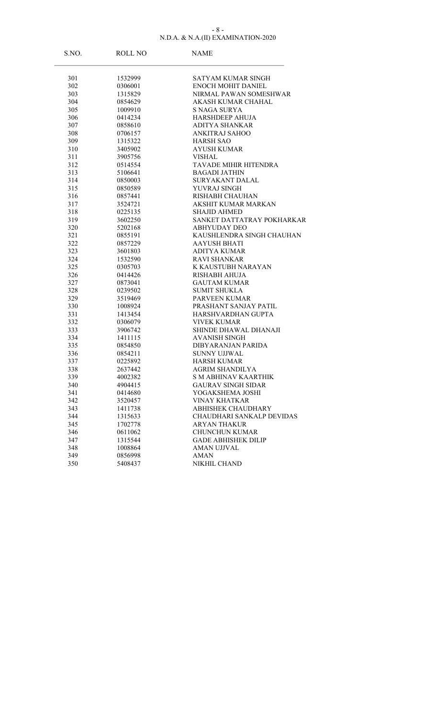### N.D.A. & N.A.(II) EXAMINATION-2020 - 8 -

| S.NO.      | ROLL NO | <b>NAME</b>                 |
|------------|---------|-----------------------------|
| 301        | 1532999 | <b>SATYAM KUMAR SINGH</b>   |
| 302        | 0306001 | <b>ENOCH MOHIT DANIEL</b>   |
| 303        | 1315829 | NIRMAL PAWAN SOMESHWAR      |
| 304        | 0854629 | <b>AKASH KUMAR CHAHAL</b>   |
| 305        | 1009910 | S NAGA SURYA                |
| 306        | 0414234 | <b>HARSHDEEP AHUJA</b>      |
| 307        | 0858610 | <b>ADITYA SHANKAR</b>       |
| 308        | 0706157 | <b>ANKITRAJ SAHOO</b>       |
| 309        | 1315322 | <b>HARSH SAO</b>            |
| 310        | 3405902 | <b>AYUSH KUMAR</b>          |
| 311        | 3905756 | <b>VISHAL</b>               |
| 312        | 0514554 | TAVADE MIHIR HITENDRA       |
| 313        | 5106641 | <b>BAGADI JATHIN</b>        |
| 314        | 0850003 | SURYAKANT DALAL             |
| 315        | 0850589 | YUVRAJ SINGH                |
| 316        | 0857441 | RISHABH CHAUHAN             |
| 317        | 3524721 | <b>AKSHIT KUMAR MARKAN</b>  |
| 318        | 0225135 | <b>SHAJID AHMED</b>         |
| 319        | 3602250 | SANKET DATTATRAY POKHARKAR  |
| 320        | 5202168 | <b>ABHYUDAY DEO</b>         |
| 321        | 0855191 | KAUSHLENDRA SINGH CHAUHAN   |
| 322        | 0857229 | AAYUSH BHATI                |
| 323        | 3601803 | <b>ADITYA KUMAR</b>         |
| 324        | 1532590 | <b>RAVI SHANKAR</b>         |
| 325        | 0305703 | K KAUSTUBH NARAYAN          |
| 326        | 0414426 | <b>RISHABH AHUJA</b>        |
| 327        | 0873041 | <b>GAUTAM KUMAR</b>         |
| 328        | 0239502 | <b>SUMIT SHUKLA</b>         |
| 329        | 3519469 | <b>PARVEEN KUMAR</b>        |
| 330        | 1008924 | PRASHANT SANJAY PATIL       |
| 331        | 1413454 | HARSHVARDHAN GUPTA          |
| 332        | 0306079 | <b>VIVEK KUMAR</b>          |
| 333        | 3906742 | SHINDE DHAWAL DHANAJI       |
| 334        | 1411115 | <b>AVANISH SINGH</b>        |
| 335        | 0854850 | DIBYARANJAN PARIDA          |
| 336        | 0854211 | SUNNY UJJWAL                |
| 337        | 0225892 | <b>HARSH KUMAR</b>          |
|            | 2637442 | <b>AGRIM SHANDILYA</b>      |
| 338        | 4002382 | <b>S M ABHINAV KAARTHIK</b> |
| 339<br>340 | 4904415 | <b>GAURAV SINGH SIDAR</b>   |
| 341        |         | YOGAKSHEMA JOSHI            |
|            | 0414680 | <b>VINAY KHATKAR</b>        |
| 342        | 3520457 |                             |
| 343        | 1411738 | ABHISHEK CHAUDHARY          |
| 344        | 1315633 | CHAUDHARI SANKALP DEVIDAS   |
| 345        | 1702778 | <b>ARYAN THAKUR</b>         |
| 346        | 0611062 | <b>CHUNCHUN KUMAR</b>       |
| 347        | 1315544 | <b>GADE ABHISHEK DILIP</b>  |
| 348        | 1008864 | <b>AMAN UJJVAL</b>          |
| 349        | 0856998 | AMAN                        |
| 350        | 5408437 | NIKHIL CHAND                |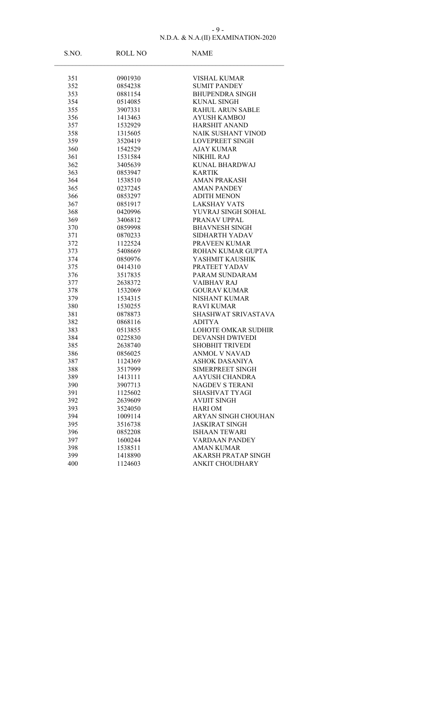#### N.D.A. & N.A.(II) EXAMINATION-2020 - 9 -

| S.NO. | ROLL NO | <b>NAME</b>                |
|-------|---------|----------------------------|
| 351   | 0901930 | <b>VISHAL KUMAR</b>        |
| 352   | 0854238 | <b>SUMIT PANDEY</b>        |
| 353   | 0881154 | <b>BHUPENDRA SINGH</b>     |
| 354   | 0514085 | <b>KUNAL SINGH</b>         |
| 355   | 3907331 | RAHUL ARUN SABLE           |
| 356   | 1413463 | <b>AYUSH KAMBOJ</b>        |
| 357   | 1532929 | <b>HARSHIT ANAND</b>       |
| 358   | 1315605 | <b>NAIK SUSHANT VINOD</b>  |
| 359   | 3520419 | <b>LOVEPREET SINGH</b>     |
| 360   | 1542529 | <b>AJAY KUMAR</b>          |
| 361   | 1531584 | <b>NIKHIL RAJ</b>          |
| 362   | 3405639 | <b>KUNAL BHARDWAJ</b>      |
| 363   | 0853947 | <b>KARTIK</b>              |
| 364   | 1538510 | <b>AMAN PRAKASH</b>        |
| 365   | 0237245 | <b>AMAN PANDEY</b>         |
| 366   | 0853297 | <b>ADITH MENON</b>         |
| 367   | 0851917 | <b>LAKSHAY VATS</b>        |
| 368   | 0420996 | YUVRAJ SINGH SOHAL         |
| 369   | 3406812 | PRANAV UPPAL               |
| 370   | 0859998 | <b>BHAVNESH SINGH</b>      |
| 371   | 0870233 | SIDHARTH YADAV             |
| 372   | 1122524 | PRAVEEN KUMAR              |
| 373   | 5408669 | ROHAN KUMAR GUPTA          |
| 374   | 0850976 | YASHMIT KAUSHIK            |
| 375   | 0414310 | PRATEET YADAV              |
| 376   | 3517835 | PARAM SUNDARAM             |
| 377   | 2638372 | <b>VAIBHAV RAJ</b>         |
| 378   | 1532069 | <b>GOURAV KUMAR</b>        |
| 379   | 1534315 | NISHANT KUMAR              |
| 380   | 1530255 | <b>RAVI KUMAR</b>          |
| 381   | 0878873 | SHASHWAT SRIVASTAVA        |
| 382   | 0868116 | ADITYA                     |
| 383   | 0513855 | <b>LOHOTE OMKAR SUDHIR</b> |
| 384   | 0225830 | <b>DEVANSH DWIVEDI</b>     |
| 385   | 2638740 | <b>SHOBHIT TRIVEDI</b>     |
| 386   | 0856025 | <b>ANMOL V NAVAD</b>       |
| 387   | 1124369 | <b>ASHOK DASANIYA</b>      |
| 388   | 3517999 | SIMERPREET SINGH           |
| 389   | 1413111 | <b>AAYUSH CHANDRA</b>      |
| 390   | 3907713 | <b>NAGDEV S TERANI</b>     |
| 391   | 1125602 | SHASHVAT TYAGI             |
| 392   | 2639609 | <b>AVIJIT SINGH</b>        |
| 393   | 3524050 | <b>HARIOM</b>              |
| 394   | 1009114 | ARYAN SINGH CHOUHAN        |
| 395   | 3516738 | <b>JASKIRAT SINGH</b>      |
| 396   | 0852208 | <b>ISHAAN TEWARI</b>       |
| 397   | 1600244 | VARDAAN PANDEY             |
| 398   | 1538511 | <b>AMAN KUMAR</b>          |
| 399   | 1418890 | AKARSH PRATAP SINGH        |
| 400   | 1124603 | ANKIT CHOUDHARY            |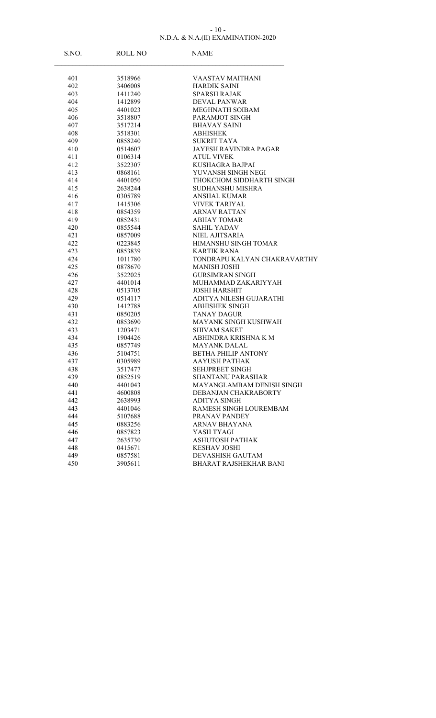#### N.D.A. & N.A.(II) EXAMINATION-2020 - 10 -

| S.NO. | ROLL NO | <b>NAME</b>                  |
|-------|---------|------------------------------|
| 401   | 3518966 | VAASTAV MAITHANI             |
| 402   | 3406008 | <b>HARDIK SAINI</b>          |
| 403   | 1411240 | <b>SPARSH RAJAK</b>          |
| 404   | 1412899 | <b>DEVAL PANWAR</b>          |
| 405   | 4401023 | <b>MEGHNATH SOIBAM</b>       |
| 406   | 3518807 | PARAMJOT SINGH               |
| 407   | 3517214 | <b>BHAVAY SAINI</b>          |
| 408   | 3518301 | <b>ABHISHEK</b>              |
| 409   | 0858240 | SUKRIT TAYA                  |
| 410   | 0514607 | <b>JAYESH RAVINDRA PAGAR</b> |
| 411   | 0106314 | <b>ATUL VIVEK</b>            |
| 412   | 3522307 | KUSHAGRA BAJPAI              |
| 413   | 0868161 | YUVANSH SINGH NEGI           |
| 414   | 4401050 | THOKCHOM SIDDHARTH SINGH     |
| 415   | 2638244 | <b>SUDHANSHU MISHRA</b>      |
| 416   | 0305789 | <b>ANSHAL KUMAR</b>          |
| 417   | 1415306 | <b>VIVEK TARIYAL</b>         |
| 418   | 0854359 | <b>ARNAV RATTAN</b>          |
| 419   | 0852431 | <b>ABHAY TOMAR</b>           |
| 420   | 0855544 | <b>SAHIL YADAV</b>           |
| 421   | 0857009 | NIEL AJITSARIA               |
| 422   | 0223845 | HIMANSHU SINGH TOMAR         |
| 423   | 0853839 | <b>KARTIK RANA</b>           |
| 424   | 1011780 | TONDRAPU KALYAN CHAKRAVARTHY |
| 425   | 0878670 | <b>MANISH JOSHI</b>          |
| 426   | 3522025 | <b>GURSIMRAN SINGH</b>       |
| 427   | 4401014 | MUHAMMAD ZAKARIYYAH          |
| 428   | 0513705 | <b>JOSHI HARSHIT</b>         |
| 429   | 0514117 | ADITYA NILESH GUJARATHI      |
| 430   | 1412788 | <b>ABHISHEK SINGH</b>        |
| 431   | 0850205 | TANAY DAGUR                  |
| 432   | 0853690 | MAYANK SINGH KUSHWAH         |
| 433   | 1203471 | <b>SHIVAM SAKET</b>          |
| 434   | 1904426 | ABHINDRA KRISHNA K M         |
| 435   | 0857749 | <b>MAYANK DALAL</b>          |
| 436   | 5104751 | <b>BETHA PHILIP ANTONY</b>   |
| 437   | 0305989 | <b>AAYUSH PATHAK</b>         |
| 438   | 3517477 | SEHJPREET SINGH              |
| 439.  | 0852519 | <b>SHANTANU PARASHAR</b>     |
| 440   | 4401043 | MAYANGLAMBAM DENISH SINGH    |
| 441   | 4600808 | DEBANJAN CHAKRABORTY         |
| 442   | 2638993 | <b>ADITYA SINGH</b>          |
| 443   | 4401046 | RAMESH SINGH LOUREMBAM       |
| 444   | 5107688 | PRANAV PANDEY                |
| 445   | 0883256 | ARNAV BHAYANA                |
| 446   | 0857823 | YASH TYAGI                   |
| 447   | 2635730 | <b>ASHUTOSH PATHAK</b>       |
| 448   | 0415671 | <b>KESHAV JOSHI</b>          |
| 449   | 0857581 | DEVASHISH GAUTAM             |
| 450   | 3905611 | BHARAT RAJSHEKHAR BANI       |
|       |         |                              |